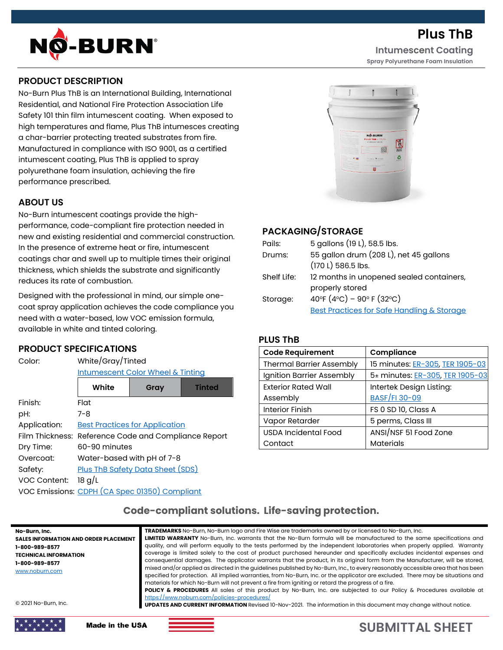

**Plus ThB Intumescent Coating**

**Spray Polyurethane Foam Insulation**

# **PRODUCT DESCRIPTION**

No-Burn Plus ThB is an International Building, International Residential, and National Fire Protection Association Life Safety 101 thin film intumescent coating. When exposed to high temperatures and flame, Plus ThB intumesces creating a char-barrier protecting treated substrates from fire. Manufactured in compliance with ISO 9001, as a certified intumescent coating, Plus ThB is applied to spray polyurethane foam insulation, achieving the fire performance prescribed.

# **ABOUT US**

No-Burn intumescent coatings provide the highperformance, code-compliant fire protection needed in new and existing residential and commercial construction. In the presence of extreme heat or fire, intumescent coatings char and swell up to multiple times their original thickness, which shields the substrate and significantly reduces its rate of combustion.

Designed with the professional in mind, our simple onecoat spray application achieves the code compliance you need with a water-based, low VOC emission formula, available in white and tinted coloring.

## **PRODUCT SPECIFICATIONS**

| White/Gray/Tinted<br><b>Intumescent Color Wheel &amp; Tinting</b> |      |               |
|-------------------------------------------------------------------|------|---------------|
| White                                                             | Gray | <b>Tinted</b> |
| Flat                                                              |      |               |
| $7 - 8$                                                           |      |               |
| <b>Best Practices for Application</b>                             |      |               |
| Film Thickness: Reference Code and Compliance Report              |      |               |
| 60-90 minutes                                                     |      |               |
| Water-based with pH of 7-8                                        |      |               |
| Plus ThB Safety Data Sheet (SDS)                                  |      |               |
| 18 g/L                                                            |      |               |
| VOC Emissions: CDPH (CA Spec 01350) Compliant                     |      |               |
|                                                                   |      |               |



# **PACKAGING/STORAGE**

| Pails:      | 5 gallons (19 L), 58.5 lbs.                           |
|-------------|-------------------------------------------------------|
| Drums:      | 55 gallon drum (208 L), net 45 gallons                |
|             | (170 L) 586.5 lbs.                                    |
| Shelf Life: | 12 months in unopened sealed containers,              |
|             | properly stored                                       |
| Storage:    | 40°F $(4$ °C) – 90°F $(32$ °C)                        |
|             | <b>Best Practices for Safe Handling &amp; Storage</b> |

## **PLUS ThB**

| <b>Code Requirement</b>         | Compliance                      |  |
|---------------------------------|---------------------------------|--|
| <b>Thermal Barrier Assembly</b> | 15 minutes: ER-305, TER 1905-03 |  |
| Ignition Barrier Assembly       | 5± minutes: ER-305, TER 1905-03 |  |
| <b>Exterior Rated Wall</b>      | Intertek Design Listing:        |  |
| Assembly                        | BASF/FI 30-09                   |  |
| <b>Interior Finish</b>          | FS 0 SD 10, Class A             |  |
| Vapor Retarder                  | 5 perms, Class III              |  |
| USDA Incidental Food            | ANSI/NSF 51 Food Zone           |  |
| Contact                         | <b>Materials</b>                |  |

# **Code-compliant solutions. Life-saving protection.**